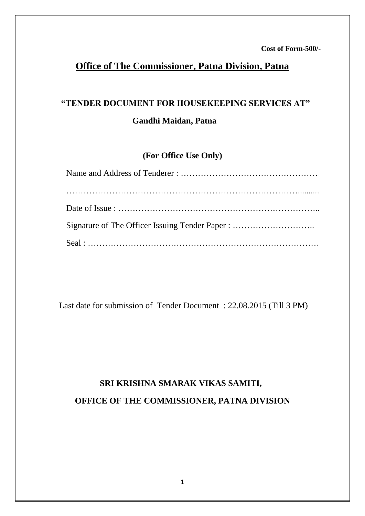### **Office of The Commissioner, Patna Division, Patna**

# **"TENDER DOCUMENT FOR HOUSEKEEPING SERVICES AT" Gandhi Maidan, Patna**

### **(For Office Use Only)**

Last date for submission of Tender Document : 22.08.2015 (Till 3 PM)

# **SRI KRISHNA SMARAK VIKAS SAMITI, OFFICE OF THE COMMISSIONER, PATNA DIVISION**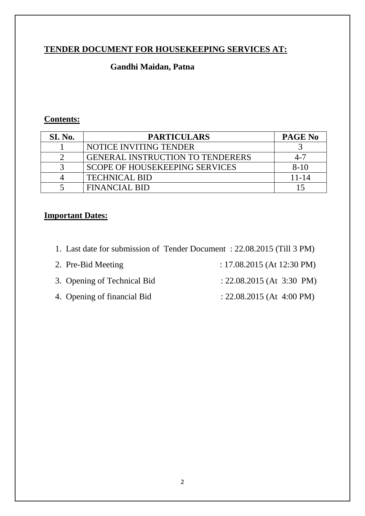### **TENDER DOCUMENT FOR HOUSEKEEPING SERVICES AT:**

### **Gandhi Maidan, Patna**

#### **Contents:**

| <b>SI. No.</b> | <b>PARTICULARS</b>                      | PAGE No   |
|----------------|-----------------------------------------|-----------|
|                | NOTICE INVITING TENDER                  |           |
|                | <b>GENERAL INSTRUCTION TO TENDERERS</b> | 4-7       |
|                | <b>SCOPE OF HOUSEKEEPING SERVICES</b>   | $8-10$    |
|                | <b>TECHNICAL BID</b>                    | $11 - 14$ |
|                | FINANCIAL BID                           |           |

### **Important Dates:**

- 1. Last date for submission of Tender Document : 22.08.2015 (Till 3 PM)
- 2. Pre-Bid Meeting : 17.08.2015 (At 12:30 PM)
- 3. Opening of Technical Bid : 22.08.2015 (At 3:30 PM)
- 4. Opening of financial Bid : 22.08.2015 (At 4:00 PM)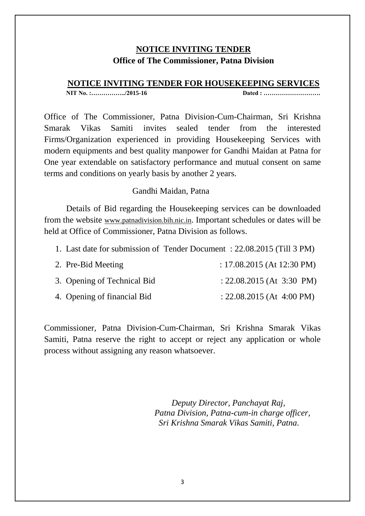### **NOTICE INVITING TENDER Office of The Commissioner, Patna Division**

#### **NOTICE INVITING TENDER FOR HOUSEKEEPING SERVICES**

**NIT No. :……………../2015-16 Dated : ……………………….**

Office of The Commissioner, Patna Division-Cum-Chairman, Sri Krishna Smarak Vikas Samiti invites sealed tender from the interested Firms/Organization experienced in providing Housekeeping Services with modern equipments and best quality manpower for Gandhi Maidan at Patna for One year extendable on satisfactory performance and mutual consent on same terms and conditions on yearly basis by another 2 years.

#### Gandhi Maidan, Patna

Details of Bid regarding the Housekeeping services can be downloaded from the website www.patnadivision.bih.nic.in. Important schedules or dates will be held at Office of Commissioner, Patna Division as follows.

| 1. Last date for submission of Tender Document: 22.08.2015 (Till 3 PM) |
|------------------------------------------------------------------------|
|------------------------------------------------------------------------|

| 2. Pre-Bid Meeting          | : $17.08.2015$ (At 12:30 PM) |
|-----------------------------|------------------------------|
| 3. Opening of Technical Bid | : $22.08.2015$ (At 3:30 PM)  |
| 4. Opening of financial Bid | $: 22.08.2015$ (At 4:00 PM)  |

Commissioner, Patna Division-Cum-Chairman, Sri Krishna Smarak Vikas Samiti, Patna reserve the right to accept or reject any application or whole process without assigning any reason whatsoever.

> *Deputy Director, Panchayat Raj, Patna Division, Patna-cum-in charge officer, Sri Krishna Smarak Vikas Samiti, Patna.*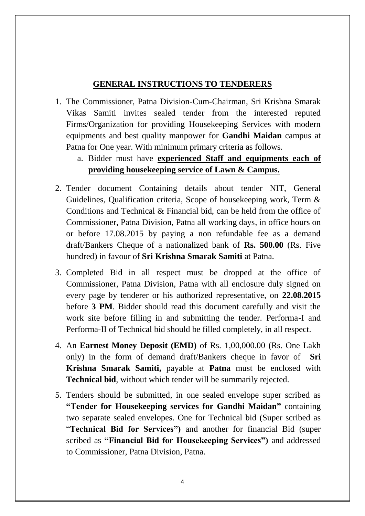### **GENERAL INSTRUCTIONS TO TENDERERS**

- 1. The Commissioner, Patna Division-Cum-Chairman, Sri Krishna Smarak Vikas Samiti invites sealed tender from the interested reputed Firms/Organization for providing Housekeeping Services with modern equipments and best quality manpower for **Gandhi Maidan** campus at Patna for One year. With minimum primary criteria as follows.
	- a. Bidder must have **experienced Staff and equipments each of providing housekeeping service of Lawn & Campus.**
- 2. Tender document Containing details about tender NIT, General Guidelines, Qualification criteria, Scope of housekeeping work, Term & Conditions and Technical & Financial bid, can be held from the office of Commissioner, Patna Division, Patna all working days, in office hours on or before 17.08.2015 by paying a non refundable fee as a demand draft/Bankers Cheque of a nationalized bank of **Rs. 500.00** (Rs. Five hundred) in favour of **Sri Krishna Smarak Samiti** at Patna.
- 3. Completed Bid in all respect must be dropped at the office of Commissioner, Patna Division, Patna with all enclosure duly signed on every page by tenderer or his authorized representative, on **22.08.2015** before **3 PM**. Bidder should read this document carefully and visit the work site before filling in and submitting the tender. Performa-I and Performa-II of Technical bid should be filled completely, in all respect.
- 4. An **Earnest Money Deposit (EMD)** of Rs. 1,00,000.00 (Rs. One Lakh only) in the form of demand draft/Bankers cheque in favor of **Sri Krishna Smarak Samiti,** payable at **Patna** must be enclosed with **Technical bid**, without which tender will be summarily rejected.
- 5. Tenders should be submitted, in one sealed envelope super scribed as **"Tender for Housekeeping services for Gandhi Maidan"** containing two separate sealed envelopes. One for Technical bid (Super scribed as "**Technical Bid for Services")** and another for financial Bid (super scribed as **"Financial Bid for Housekeeping Services")** and addressed to Commissioner, Patna Division, Patna.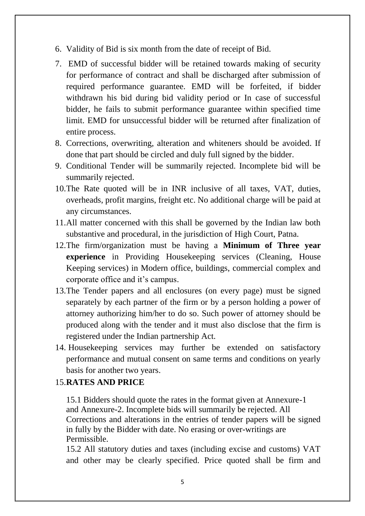- 6. Validity of Bid is six month from the date of receipt of Bid.
- 7. EMD of successful bidder will be retained towards making of security for performance of contract and shall be discharged after submission of required performance guarantee. EMD will be forfeited, if bidder withdrawn his bid during bid validity period or In case of successful bidder, he fails to submit performance guarantee within specified time limit. EMD for unsuccessful bidder will be returned after finalization of entire process.
- 8. Corrections, overwriting, alteration and whiteners should be avoided. If done that part should be circled and duly full signed by the bidder.
- 9. Conditional Tender will be summarily rejected. Incomplete bid will be summarily rejected.
- 10.The Rate quoted will be in INR inclusive of all taxes, VAT, duties, overheads, profit margins, freight etc. No additional charge will be paid at any circumstances.
- 11.All matter concerned with this shall be governed by the Indian law both substantive and procedural, in the jurisdiction of High Court, Patna.
- 12.The firm/organization must be having a **Minimum of Three year experience** in Providing Housekeeping services (Cleaning, House Keeping services) in Modern office, buildings, commercial complex and corporate office and it's campus.
- 13.The Tender papers and all enclosures (on every page) must be signed separately by each partner of the firm or by a person holding a power of attorney authorizing him/her to do so. Such power of attorney should be produced along with the tender and it must also disclose that the firm is registered under the Indian partnership Act.
- 14. Housekeeping services may further be extended on satisfactory performance and mutual consent on same terms and conditions on yearly basis for another two years.

### 15.**RATES AND PRICE**

15.1 Bidders should quote the rates in the format given at Annexure-1 and Annexure-2. Incomplete bids will summarily be rejected. All Corrections and alterations in the entries of tender papers will be signed in fully by the Bidder with date. No erasing or over-writings are Permissible.

15.2 All statutory duties and taxes (including excise and customs) VAT and other may be clearly specified. Price quoted shall be firm and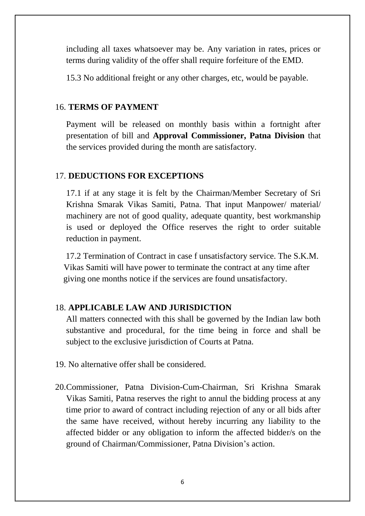including all taxes whatsoever may be. Any variation in rates, prices or terms during validity of the offer shall require forfeiture of the EMD.

15.3 No additional freight or any other charges, etc, would be payable.

### 16. **TERMS OF PAYMENT**

Payment will be released on monthly basis within a fortnight after presentation of bill and **Approval Commissioner, Patna Division** that the services provided during the month are satisfactory.

### 17. **DEDUCTIONS FOR EXCEPTIONS**

17.1 if at any stage it is felt by the Chairman/Member Secretary of Sri Krishna Smarak Vikas Samiti, Patna. That input Manpower/ material/ machinery are not of good quality, adequate quantity, best workmanship is used or deployed the Office reserves the right to order suitable reduction in payment.

 17.2 Termination of Contract in case f unsatisfactory service. The S.K.M. Vikas Samiti will have power to terminate the contract at any time after giving one months notice if the services are found unsatisfactory.

### 18. **APPLICABLE LAW AND JURISDICTION**

All matters connected with this shall be governed by the Indian law both substantive and procedural, for the time being in force and shall be subject to the exclusive jurisdiction of Courts at Patna.

- 19. No alternative offer shall be considered.
- 20.Commissioner, Patna Division-Cum-Chairman, Sri Krishna Smarak Vikas Samiti, Patna reserves the right to annul the bidding process at any time prior to award of contract including rejection of any or all bids after the same have received, without hereby incurring any liability to the affected bidder or any obligation to inform the affected bidder/s on the ground of Chairman/Commissioner, Patna Division's action.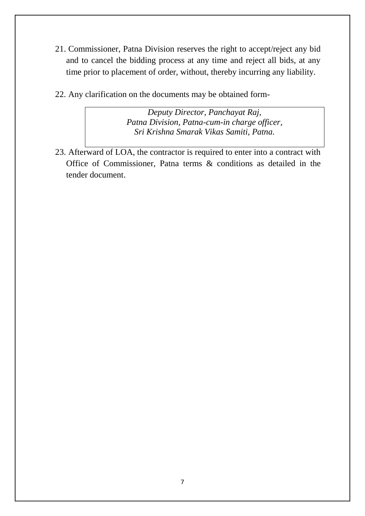- 21. Commissioner, Patna Division reserves the right to accept/reject any bid and to cancel the bidding process at any time and reject all bids, at any time prior to placement of order, without, thereby incurring any liability.
- 22. Any clarification on the documents may be obtained form-

*Deputy Director, Panchayat Raj, Patna Division, Patna-cum-in charge officer, Sri Krishna Smarak Vikas Samiti, Patna.*

23. Afterward of LOA, the contractor is required to enter into a contract with Office of Commissioner, Patna terms & conditions as detailed in the tender document.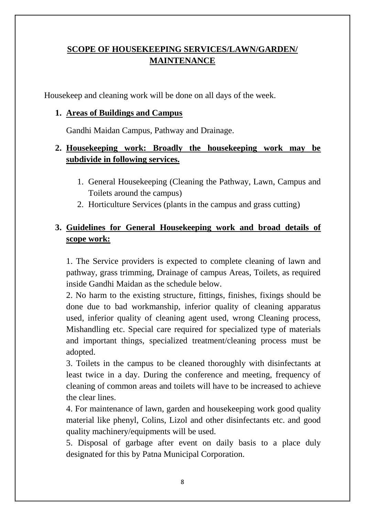### **SCOPE OF HOUSEKEEPING SERVICES/LAWN/GARDEN/ MAINTENANCE**

Housekeep and cleaning work will be done on all days of the week.

### **1. Areas of Buildings and Campus**

Gandhi Maidan Campus, Pathway and Drainage.

### **2. Housekeeping work: Broadly the housekeeping work may be subdivide in following services.**

- 1. General Housekeeping (Cleaning the Pathway, Lawn, Campus and Toilets around the campus)
- 2. Horticulture Services (plants in the campus and grass cutting)

### **3. Guidelines for General Housekeeping work and broad details of scope work:**

1. The Service providers is expected to complete cleaning of lawn and pathway, grass trimming, Drainage of campus Areas, Toilets, as required inside Gandhi Maidan as the schedule below.

2. No harm to the existing structure, fittings, finishes, fixings should be done due to bad workmanship, inferior quality of cleaning apparatus used, inferior quality of cleaning agent used, wrong Cleaning process, Mishandling etc. Special care required for specialized type of materials and important things, specialized treatment/cleaning process must be adopted.

3. Toilets in the campus to be cleaned thoroughly with disinfectants at least twice in a day. During the conference and meeting, frequency of cleaning of common areas and toilets will have to be increased to achieve the clear lines.

4. For maintenance of lawn, garden and housekeeping work good quality material like phenyl, Colins, Lizol and other disinfectants etc. and good quality machinery/equipments will be used.

5. Disposal of garbage after event on daily basis to a place duly designated for this by Patna Municipal Corporation.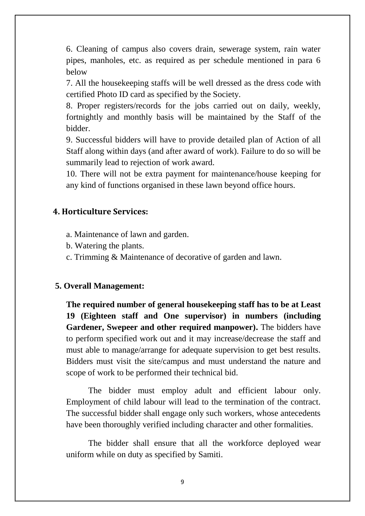6. Cleaning of campus also covers drain, sewerage system, rain water pipes, manholes, etc. as required as per schedule mentioned in para 6 below

7. All the housekeeping staffs will be well dressed as the dress code with certified Photo ID card as specified by the Society.

8. Proper registers/records for the jobs carried out on daily, weekly, fortnightly and monthly basis will be maintained by the Staff of the bidder.

9. Successful bidders will have to provide detailed plan of Action of all Staff along within days (and after award of work). Failure to do so will be summarily lead to rejection of work award.

10. There will not be extra payment for maintenance/house keeping for any kind of functions organised in these lawn beyond office hours.

#### **4. Horticulture Services:**

- a. Maintenance of lawn and garden.
- b. Watering the plants.
- c. Trimming & Maintenance of decorative of garden and lawn.

#### **5. Overall Management:**

**The required number of general housekeeping staff has to be at Least 19 (Eighteen staff and One supervisor) in numbers (including**  Gardener, Swepeer and other required manpower). The bidders have to perform specified work out and it may increase/decrease the staff and must able to manage/arrange for adequate supervision to get best results. Bidders must visit the site/campus and must understand the nature and scope of work to be performed their technical bid.

The bidder must employ adult and efficient labour only. Employment of child labour will lead to the termination of the contract. The successful bidder shall engage only such workers, whose antecedents have been thoroughly verified including character and other formalities.

The bidder shall ensure that all the workforce deployed wear uniform while on duty as specified by Samiti.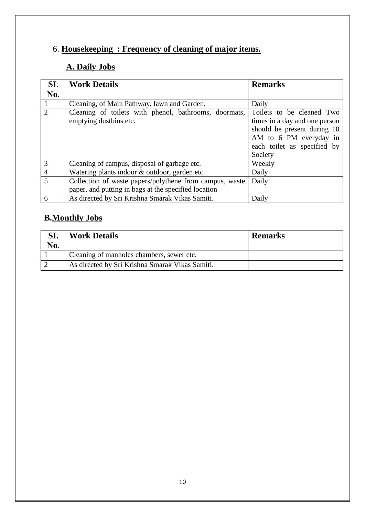# 6. **Housekeeping : Frequency of cleaning of major items.**

# **A. Daily Jobs**

| SI.            | <b>Work Details</b>                                     | <b>Remarks</b>                |
|----------------|---------------------------------------------------------|-------------------------------|
| No.            |                                                         |                               |
|                | Cleaning, of Main Pathway, lawn and Garden.             | Daily                         |
| $\overline{2}$ | Cleaning of toilets with phenol, bathrooms, doormats,   | Toilets to be cleaned Two     |
|                | emptying dustbins etc.                                  | times in a day and one person |
|                |                                                         | should be present during 10   |
|                |                                                         | AM to 6 PM everyday in        |
|                |                                                         | each toilet as specified by   |
|                |                                                         | Society                       |
| 3              | Cleaning of campus, disposal of garbage etc.            | Weekly                        |
| $\overline{4}$ | Watering plants indoor & outdoor, garden etc.           | Daily                         |
| 5              | Collection of waste papers/polythene from campus, waste | Daily                         |
|                | paper, and putting in bags at the specified location    |                               |
| 6              | As directed by Sri Krishna Smarak Vikas Samiti.         | Daily                         |

### **B.Monthly Jobs**

| SI.<br>No. | <b>Work Details</b>                             | <b>Remarks</b> |
|------------|-------------------------------------------------|----------------|
|            | Cleaning of manholes chambers, sewer etc.       |                |
|            | As directed by Sri Krishna Smarak Vikas Samiti. |                |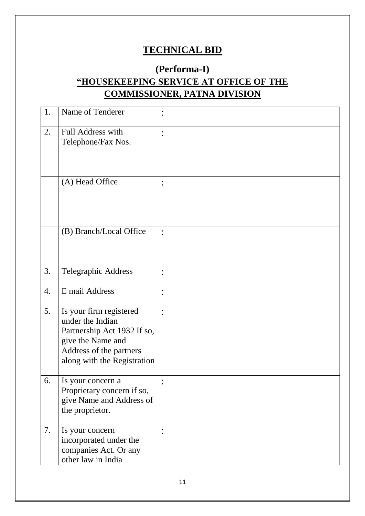## **TECHNICAL BID**

## **(Performa-I) "HOUSEKEEPING SERVICE AT OFFICE OF THE COMMISSIONER, PATNA DIVISION**

| 1. | Name of Tenderer                                                                                                                                          |                |  |
|----|-----------------------------------------------------------------------------------------------------------------------------------------------------------|----------------|--|
| 2. | Full Address with<br>Telephone/Fax Nos.                                                                                                                   |                |  |
|    | (A) Head Office                                                                                                                                           | $\bullet$      |  |
|    | (B) Branch/Local Office                                                                                                                                   | $\ddot{\cdot}$ |  |
| 3. | <b>Telegraphic Address</b>                                                                                                                                |                |  |
| 4. | E mail Address                                                                                                                                            | $\ddot{\cdot}$ |  |
| 5. | Is your firm registered<br>under the Indian<br>Partnership Act 1932 If so,<br>give the Name and<br>Address of the partners<br>along with the Registration |                |  |
| 6. | Is your concern a<br>Proprietary concern if so,<br>give Name and Address of<br>the proprietor.                                                            |                |  |
| 7. | Is your concern<br>incorporated under the<br>companies Act. Or any<br>other law in India                                                                  |                |  |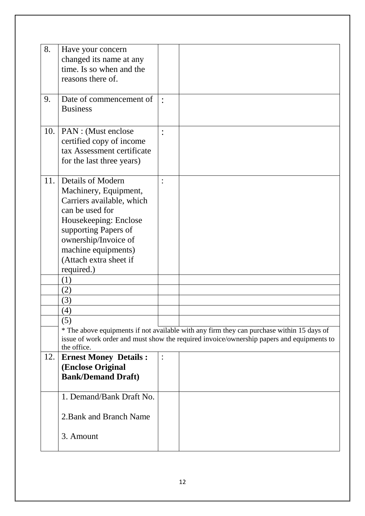| 8.  | Have your concern            |                                                                                           |
|-----|------------------------------|-------------------------------------------------------------------------------------------|
|     | changed its name at any      |                                                                                           |
|     | time. Is so when and the     |                                                                                           |
|     | reasons there of.            |                                                                                           |
|     |                              |                                                                                           |
| 9.  | Date of commencement of      |                                                                                           |
|     | <b>Business</b>              |                                                                                           |
|     |                              |                                                                                           |
| 10. | PAN : (Must enclose          |                                                                                           |
|     | certified copy of income     |                                                                                           |
|     | tax Assessment certificate   |                                                                                           |
|     | for the last three years)    |                                                                                           |
|     |                              |                                                                                           |
| 11. | <b>Details of Modern</b>     |                                                                                           |
|     | Machinery, Equipment,        |                                                                                           |
|     | Carriers available, which    |                                                                                           |
|     | can be used for              |                                                                                           |
|     | Housekeeping: Enclose        |                                                                                           |
|     | supporting Papers of         |                                                                                           |
|     | ownership/Invoice of         |                                                                                           |
|     | machine equipments)          |                                                                                           |
|     |                              |                                                                                           |
|     | (Attach extra sheet if       |                                                                                           |
|     | required.)                   |                                                                                           |
|     | (1)                          |                                                                                           |
|     | (2)                          |                                                                                           |
|     | (3)                          |                                                                                           |
|     | (4)                          |                                                                                           |
|     | (5)                          |                                                                                           |
|     |                              | * The above equipments if not available with any firm they can purchase within 15 days of |
|     |                              | issue of work order and must show the required invoice/ownership papers and equipments to |
|     | the office.                  |                                                                                           |
| 12. | <b>Ernest Money Details:</b> |                                                                                           |
|     | <b>(Enclose Original</b>     |                                                                                           |
|     | <b>Bank/Demand Draft)</b>    |                                                                                           |
|     | 1. Demand/Bank Draft No.     |                                                                                           |
|     |                              |                                                                                           |
|     | 2. Bank and Branch Name      |                                                                                           |
|     |                              |                                                                                           |
|     | 3. Amount                    |                                                                                           |
|     |                              |                                                                                           |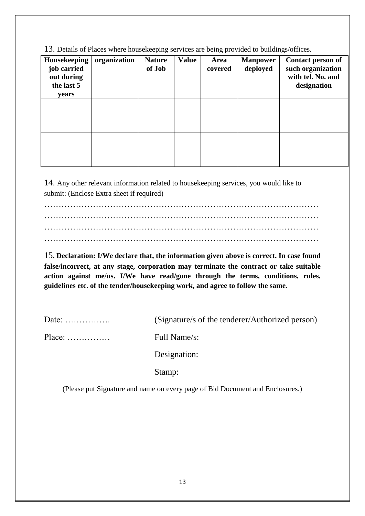13. Details of Places where housekeeping services are being provided to buildings/offices.

| organization | <b>Nature</b><br>of Job | <b>Value</b> | Area<br>covered | <b>Manpower</b><br>deployed | <b>Contact person of</b><br>such organization<br>with tel. No. and<br>designation |
|--------------|-------------------------|--------------|-----------------|-----------------------------|-----------------------------------------------------------------------------------|
|              |                         |              |                 |                             |                                                                                   |
|              |                         |              |                 |                             |                                                                                   |
|              |                         |              |                 |                             |                                                                                   |
|              |                         |              |                 |                             |                                                                                   |
|              |                         |              |                 |                             |                                                                                   |
|              |                         |              |                 |                             |                                                                                   |
|              |                         |              |                 |                             |                                                                                   |
|              |                         |              |                 |                             |                                                                                   |
|              |                         |              |                 |                             |                                                                                   |
|              |                         |              |                 |                             |                                                                                   |

14. Any other relevant information related to housekeeping services, you would like to submit: (Enclose Extra sheet if required)

…………………………………………………………………………………… …………………………………………………………………………………… …………………………………………………………………………………… ……………………………………………………………………………………

15**. Declaration: I/We declare that, the information given above is correct. In case found false/incorrect, at any stage, corporation may terminate the contract or take suitable action against me/us. I/We have read/gone through the terms, conditions, rules, guidelines etc. of the tender/housekeeping work, and agree to follow the same.**

| Date: $\dots \dots \dots \dots$      | (Signature/s of the tenderer/Authorized person) |
|--------------------------------------|-------------------------------------------------|
| $Place: \ldots \ldots \ldots \ldots$ | Full Name/s:                                    |
|                                      | Designation:                                    |

Stamp:

(Please put Signature and name on every page of Bid Document and Enclosures.)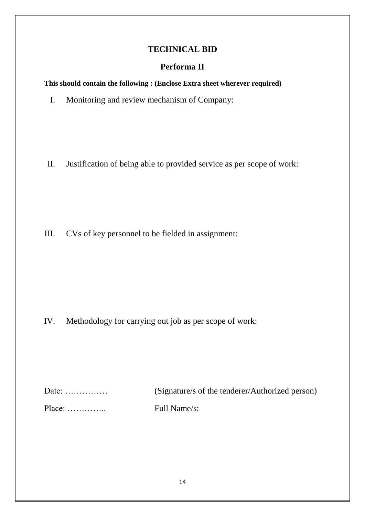### **TECHNICAL BID**

### **Performa II**

**This should contain the following : (Enclose Extra sheet wherever required)**

I. Monitoring and review mechanism of Company:

II. Justification of being able to provided service as per scope of work:

III. CVs of key personnel to be fielded in assignment:

IV. Methodology for carrying out job as per scope of work:

| Date: $\dots\dots\dots\dots\dots$ | (Signature/s of the tenderer/Authorized person) |
|-----------------------------------|-------------------------------------------------|
|                                   | Full Name/s:                                    |